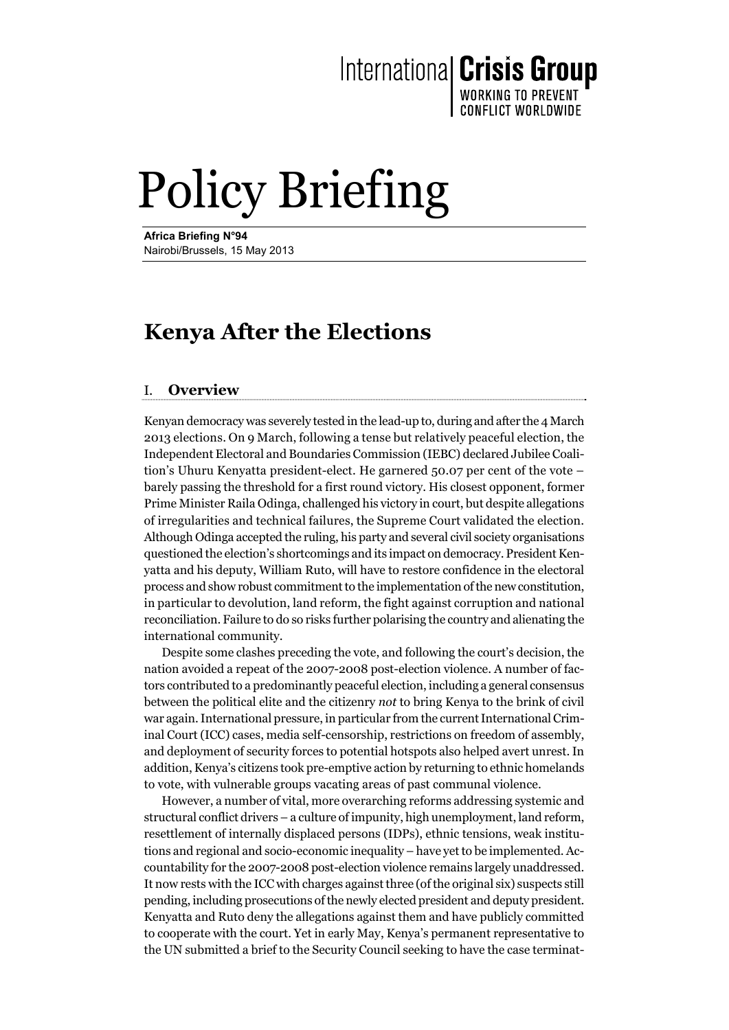International Crisis Group

WORKING TO PREVENT **CONFLICT WORLDWIDE** 

## Policy Briefing

**Africa Briefing N°94**  Nairobi/Brussels, 15 May 2013

### **Kenya After the Elections**

#### I. **Overview**

Kenyan democracy was severely tested in the lead-up to, during and after the 4 March 2013 elections. On 9 March, following a tense but relatively peaceful election, the Independent Electoral and Boundaries Commission (IEBC) declared Jubilee Coalition's Uhuru Kenyatta president-elect. He garnered 50.07 per cent of the vote – barely passing the threshold for a first round victory. His closest opponent, former Prime Minister Raila Odinga, challenged his victory in court, but despite allegations of irregularities and technical failures, the Supreme Court validated the election. Although Odinga accepted the ruling, his party and several civil society organisations questioned the election's shortcomings and its impact on democracy. President Kenyatta and his deputy, William Ruto, will have to restore confidence in the electoral process and show robust commitment to the implementation of the new constitution, in particular to devolution, land reform, the fight against corruption and national reconciliation. Failure to do so risks further polarising the country and alienating the international community.

Despite some clashes preceding the vote, and following the court's decision, the nation avoided a repeat of the 2007-2008 post-election violence. A number of factors contributed to a predominantly peaceful election, including a general consensus between the political elite and the citizenry *not* to bring Kenya to the brink of civil war again. International pressure, in particular from the current International Criminal Court (ICC) cases, media self-censorship, restrictions on freedom of assembly, and deployment of security forces to potential hotspots also helped avert unrest. In addition, Kenya's citizens took pre-emptive action by returning to ethnic homelands to vote, with vulnerable groups vacating areas of past communal violence.

However, a number of vital, more overarching reforms addressing systemic and structural conflict drivers – a culture of impunity, high unemployment, land reform, resettlement of internally displaced persons (IDPs), ethnic tensions, weak institutions and regional and socio-economic inequality – have yet to be implemented. Accountability for the 2007-2008 post-election violence remains largely unaddressed. It now rests with the ICC with charges against three (of the original six) suspects still pending, including prosecutions of the newly elected president and deputy president. Kenyatta and Ruto deny the allegations against them and have publicly committed to cooperate with the court. Yet in early May, Kenya's permanent representative to the UN submitted a brief to the Security Council seeking to have the case terminat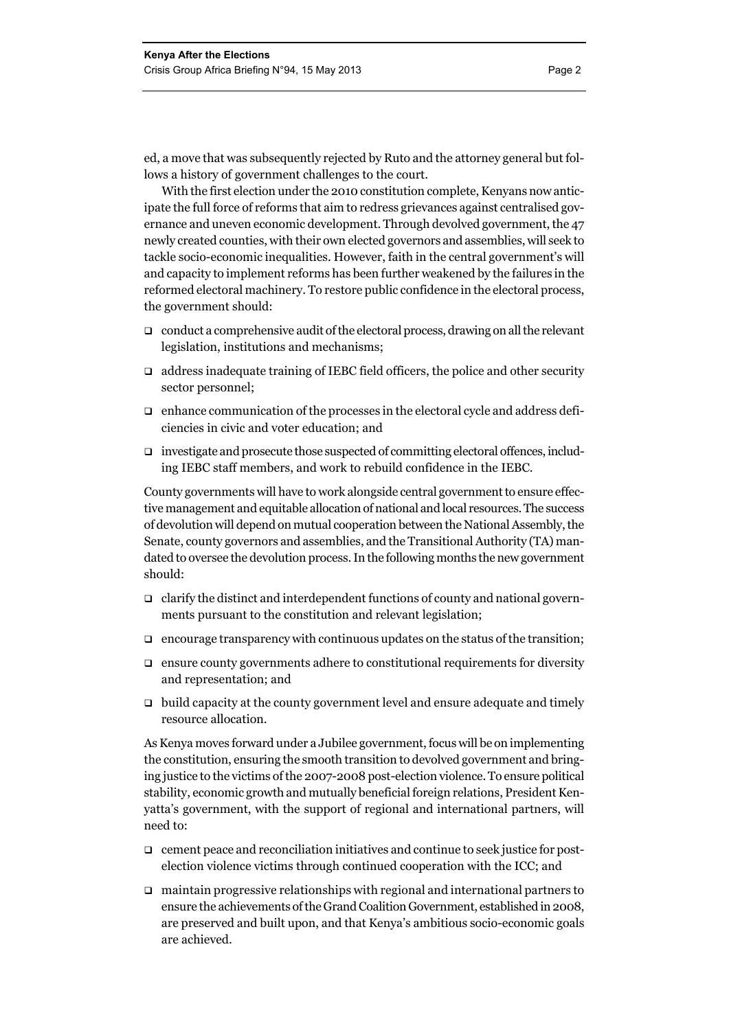ed, a move that was subsequently rejected by Ruto and the attorney general but follows a history of government challenges to the court.

With the first election under the 2010 constitution complete, Kenyans now anticipate the full force of reforms that aim to redress grievances against centralised governance and uneven economic development. Through devolved government, the 47 newly created counties, with their own elected governors and assemblies, will seek to tackle socio-economic inequalities. However, faith in the central government's will and capacity to implement reforms has been further weakened by the failures in the reformed electoral machinery. To restore public confidence in the electoral process, the government should:

- $\Box$  conduct a comprehensive audit of the electoral process, drawing on all the relevant legislation, institutions and mechanisms;
- $\Box$  address inadequate training of IEBC field officers, the police and other security sector personnel;
- $\Box$  enhance communication of the processes in the electoral cycle and address deficiencies in civic and voter education; and
- investigate and prosecute those suspected of committing electoral offences, including IEBC staff members, and work to rebuild confidence in the IEBC.

County governments will have to work alongside central government to ensure effective management and equitable allocation of national and local resources. The success of devolution will depend on mutual cooperation between the National Assembly, the Senate, county governors and assemblies, and the Transitional Authority (TA) mandated to oversee the devolution process. In the following months the new government should:

- $\Box$  clarify the distinct and interdependent functions of county and national governments pursuant to the constitution and relevant legislation;
- $\Box$  encourage transparency with continuous updates on the status of the transition;
- $\Box$  ensure county governments adhere to constitutional requirements for diversity and representation; and
- $\Box$  build capacity at the county government level and ensure adequate and timely resource allocation.

As Kenya moves forward under a Jubilee government, focus will be on implementing the constitution, ensuring the smooth transition to devolved government and bringing justice to the victims of the 2007-2008 post-election violence. To ensure political stability, economic growth and mutually beneficial foreign relations, President Kenyatta's government, with the support of regional and international partners, will need to:

- $\Box$  cement peace and reconciliation initiatives and continue to seek justice for postelection violence victims through continued cooperation with the ICC; and
- $\Box$  maintain progressive relationships with regional and international partners to ensure the achievements of the Grand Coalition Government, established in 2008, are preserved and built upon, and that Kenya's ambitious socio-economic goals are achieved.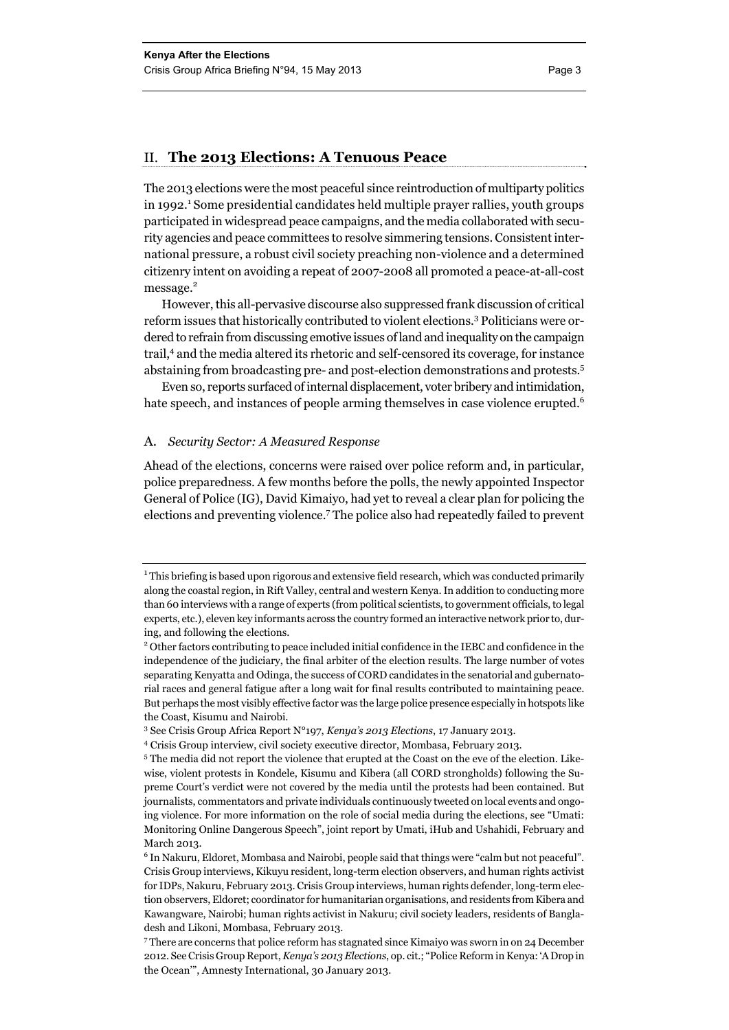#### II. **The 2013 Elections: A Tenuous Peace**

The 2013 elections were the most peaceful since reintroduction of multiparty politics in 1992.<sup>1</sup> Some presidential candidates held multiple prayer rallies, youth groups participated in widespread peace campaigns, and the media collaborated with security agencies and peace committees to resolve simmering tensions. Consistent international pressure, a robust civil society preaching non-violence and a determined citizenry intent on avoiding a repeat of 2007-2008 all promoted a peace-at-all-cost message.<sup>2</sup>

However, this all-pervasive discourse also suppressed frank discussion of critical reform issues that historically contributed to violent elections.<sup>3</sup> Politicians were ordered to refrain from discussing emotive issues of land and inequality on the campaign trail,<sup>4</sup> and the media altered its rhetoric and self-censored its coverage, for instance abstaining from broadcasting pre- and post-election demonstrations and protests.5

Even so, reports surfaced of internal displacement, voter bribery and intimidation, hate speech, and instances of people arming themselves in case violence erupted.<sup>6</sup>

#### A. *Security Sector: A Measured Response*

Ahead of the elections, concerns were raised over police reform and, in particular, police preparedness. A few months before the polls, the newly appointed Inspector General of Police (IG), David Kimaiyo, had yet to reveal a clear plan for policing the elections and preventing violence.7 The police also had repeatedly failed to prevent

 $1$ This briefing is based upon rigorous and extensive field research, which was conducted primarily along the coastal region, in Rift Valley, central and western Kenya. In addition to conducting more than 60 interviews with a range of experts (from political scientists, to government officials, to legal experts, etc.), eleven key informants across the country formed an interactive network prior to, during, and following the elections.

<sup>2</sup> Other factors contributing to peace included initial confidence in the IEBC and confidence in the independence of the judiciary, the final arbiter of the election results. The large number of votes separating Kenyatta and Odinga, the success of CORD candidates in the senatorial and gubernatorial races and general fatigue after a long wait for final results contributed to maintaining peace. But perhaps the most visibly effective factor was the large police presence especially in hotspots like the Coast, Kisumu and Nairobi.

<sup>3</sup> See Crisis Group Africa Report N°197, *Kenya's 2013 Elections*, 17 January 2013.

<sup>&</sup>lt;sup>4</sup> Crisis Group interview, civil society executive director, Mombasa, February 2013.<br><sup>5</sup> The media did not report the violence that exuated at the Coast on the ave of the a

<sup>&</sup>lt;sup>5</sup> The media did not report the violence that erupted at the Coast on the eve of the election. Likewise, violent protests in Kondele, Kisumu and Kibera (all CORD strongholds) following the Supreme Court's verdict were not covered by the media until the protests had been contained. But journalists, commentators and private individuals continuously tweeted on local events and ongoing violence. For more information on the role of social media during the elections, see "Umati: Monitoring Online Dangerous Speech", joint report by Umati, iHub and Ushahidi, February and March 2013.

<sup>&</sup>lt;sup>6</sup> In Nakuru, Eldoret, Mombasa and Nairobi, people said that things were "calm but not peaceful". Crisis Group interviews, Kikuyu resident, long-term election observers, and human rights activist for IDPs, Nakuru, February 2013. Crisis Group interviews, human rights defender, long-term election observers, Eldoret; coordinator for humanitarian organisations, and residents from Kibera and Kawangware, Nairobi; human rights activist in Nakuru; civil society leaders, residents of Bangladesh and Likoni, Mombasa, February 2013.

<sup>7</sup> There are concerns that police reform has stagnated since Kimaiyo was sworn in on 24 December 2012. See Crisis Group Report, *Kenya's 2013 Elections*, op. cit.; "Police Reform in Kenya: 'A Drop in the Ocean'", Amnesty International, 30 January 2013.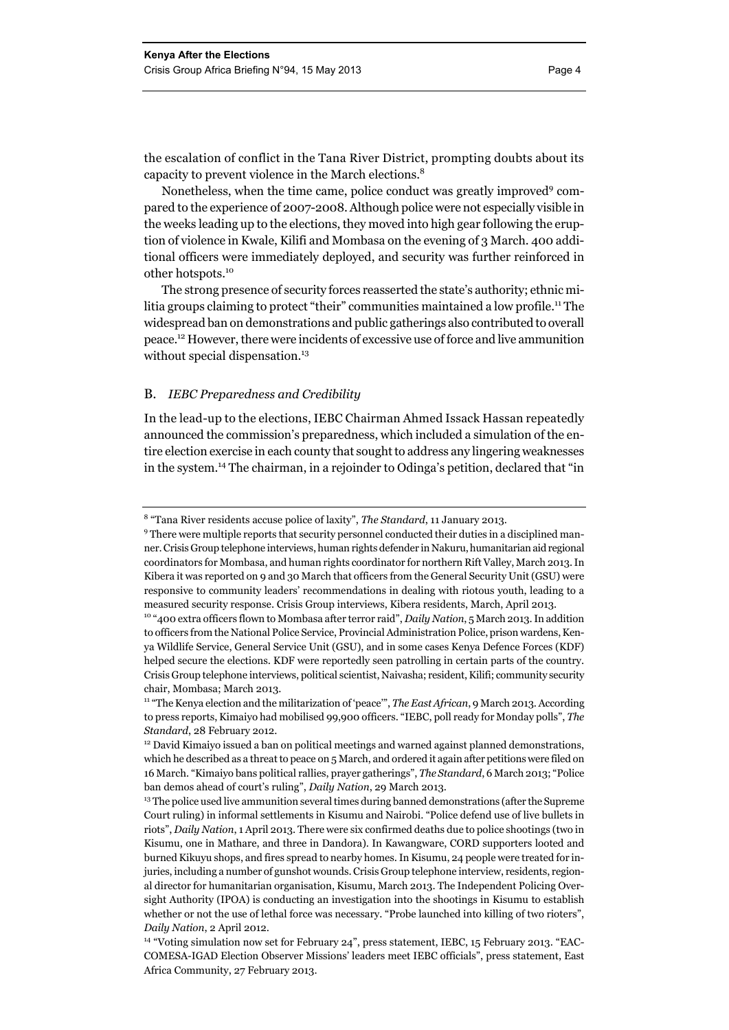the escalation of conflict in the Tana River District, prompting doubts about its capacity to prevent violence in the March elections.<sup>8</sup>

Nonetheless, when the time came, police conduct was greatly improved<sup>9</sup> compared to the experience of 2007-2008. Although police were not especially visible in the weeks leading up to the elections, they moved into high gear following the eruption of violence in Kwale, Kilifi and Mombasa on the evening of 3 March. 400 additional officers were immediately deployed, and security was further reinforced in other hotspots.<sup>10</sup>

The strong presence of security forces reasserted the state's authority; ethnic militia groups claiming to protect "their" communities maintained a low profile.<sup>11</sup> The widespread ban on demonstrations and public gatherings also contributed to overall peace.12 However, there were incidents of excessive use of force and live ammunition without special dispensation.<sup>13</sup>

#### B. *IEBC Preparedness and Credibility*

In the lead-up to the elections, IEBC Chairman Ahmed Issack Hassan repeatedly announced the commission's preparedness, which included a simulation of the entire election exercise in each county that sought to address any lingering weaknesses in the system.14 The chairman, in a rejoinder to Odinga's petition, declared that "in

<sup>&</sup>lt;sup>8</sup> "Tana River residents accuse police of laxity", *The Standard*, 11 January 2013.<br><sup>9</sup> There were multiple reports that security personnel conducted their duties in a

<sup>&</sup>lt;sup>9</sup> There were multiple reports that security personnel conducted their duties in a disciplined manner. Crisis Group telephone interviews, human rights defender in Nakuru, humanitarian aid regional coordinators for Mombasa, and human rights coordinator for northern Rift Valley, March 2013. In Kibera it was reported on 9 and 30 March that officers from the General Security Unit (GSU) were responsive to community leaders' recommendations in dealing with riotous youth, leading to a measured security response. Crisis Group interviews, Kibera residents, March, April 2013. 10 "400 extra officers flown to Mombasa after terror raid", *Daily Nation*, 5 March 2013. In addition

to officers from the National Police Service, Provincial Administration Police, prison wardens, Kenya Wildlife Service, General Service Unit (GSU), and in some cases Kenya Defence Forces (KDF) helped secure the elections. KDF were reportedly seen patrolling in certain parts of the country. Crisis Group telephone interviews, political scientist, Naivasha; resident, Kilifi; community security chair, Mombasa; March 2013.

<sup>11 &</sup>quot;The Kenya election and the militarization of 'peace'", *The East African*, 9 March 2013. According to press reports, Kimaiyo had mobilised 99,900 officers. "IEBC, poll ready for Monday polls", *The Standard*, 28 February 2012.<br><sup>12</sup> David Kimaiyo issued a ban on political meetings and warned against planned demonstrations.

which he described as a threat to peace on 5 March, and ordered it again after petitions were filed on 16 March. "Kimaiyo bans political rallies, prayer gatherings", *The Standard*, 6 March 2013; "Police ban demos ahead of court's ruling", *Daily Nation*, 29 March 2013.<br><sup>13</sup> The police used live ammunition several times during banned demonstrations (after the Supreme

Court ruling) in informal settlements in Kisumu and Nairobi. "Police defend use of live bullets in riots", *Daily Nation*, 1 April 2013. There were six confirmed deaths due to police shootings (two in Kisumu, one in Mathare, and three in Dandora). In Kawangware, CORD supporters looted and burned Kikuyu shops, and fires spread to nearby homes. In Kisumu, 24 people were treated for injuries, including a number of gunshot wounds. Crisis Group telephone interview, residents, regional director for humanitarian organisation, Kisumu, March 2013. The Independent Policing Oversight Authority (IPOA) is conducting an investigation into the shootings in Kisumu to establish whether or not the use of lethal force was necessary. "Probe launched into killing of two rioters", *Daily Nation*, 2 April 2012.<br><sup>14</sup> "Voting simulation now set for February 24", press statement, IEBC, 15 February 2013. "EAC-

COMESA-IGAD Election Observer Missions' leaders meet IEBC officials", press statement, East Africa Community, 27 February 2013.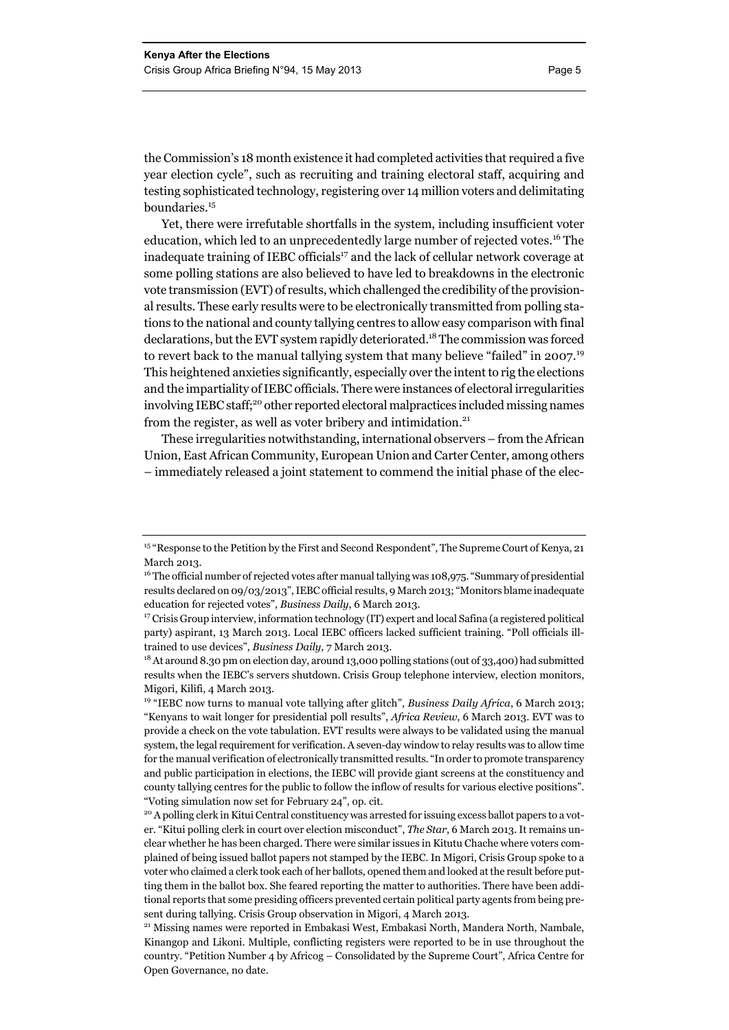the Commission's 18 month existence it had completed activities that required a five year election cycle", such as recruiting and training electoral staff, acquiring and testing sophisticated technology, registering over 14 million voters and delimitating boundaries.<sup>15</sup>

Yet, there were irrefutable shortfalls in the system, including insufficient voter education, which led to an unprecedentedly large number of rejected votes.<sup>16</sup> The inadequate training of IEBC officials<sup>17</sup> and the lack of cellular network coverage at some polling stations are also believed to have led to breakdowns in the electronic vote transmission (EVT) of results, which challenged the credibility of the provisional results. These early results were to be electronically transmitted from polling stations to the national and county tallying centres to allow easy comparison with final declarations, but the EVT system rapidly deteriorated.<sup>18</sup> The commission was forced to revert back to the manual tallying system that many believe "failed" in 2007.<sup>19</sup> This heightened anxieties significantly, especially over the intent to rig the elections and the impartiality of IEBC officials. There were instances of electoral irregularities involving IEBC staff;<sup>20</sup> other reported electoral malpractices included missing names from the register, as well as voter bribery and intimidation. $21$ 

These irregularities notwithstanding, international observers – from the African Union, East African Community, European Union and Carter Center, among others – immediately released a joint statement to commend the initial phase of the elec-

<sup>&</sup>lt;sup>15</sup> "Response to the Petition by the First and Second Respondent", The Supreme Court of Kenya, 21 March 2013.

<sup>&</sup>lt;sup>16</sup> The official number of rejected votes after manual tallying was 108,975. "Summary of presidential results declared on 09/03/2013", IEBC official results, 9 March 2013; "Monitors blame inadequate education for rejected votes", *Business Daily*, 6 March 2013.<br><sup>17</sup> Crisis Group interview, information technology (IT) expert and local Safina (a registered political

party) aspirant, 13 March 2013. Local IEBC officers lacked sufficient training. "Poll officials illtrained to use devices", *Business Daily*, 7 March 2013.<br><sup>18</sup> At around 8.30 pm on election day, around 13,000 polling stations (out of 33,400) had submitted

results when the IEBC's servers shutdown. Crisis Group telephone interview, election monitors, Migori, Kilifi, 4 March 2013.

<sup>&</sup>lt;sup>19</sup> "IEBC now turns to manual vote tallying after glitch", *Business Daily Africa*, 6 March 2013; "Kenyans to wait longer for presidential poll results", *Africa Review*, 6 March 2013. EVT was to provide a check on the vote tabulation. EVT results were always to be validated using the manual system, the legal requirement for verification. A seven-day window to relay results was to allow time for the manual verification of electronically transmitted results. "In order to promote transparency and public participation in elections, the IEBC will provide giant screens at the constituency and county tallying centres for the public to follow the inflow of results for various elective positions". "Voting simulation now set for February 24", op. cit.

<sup>&</sup>lt;sup>20</sup> A polling clerk in Kitui Central constituency was arrested for issuing excess ballot papers to a voter. "Kitui polling clerk in court over election misconduct", *The Star*, 6 March 2013. It remains unclear whether he has been charged. There were similar issues in Kitutu Chache where voters complained of being issued ballot papers not stamped by the IEBC. In Migori, Crisis Group spoke to a voter who claimed a clerk took each of her ballots, opened them and looked at the result before putting them in the ballot box. She feared reporting the matter to authorities. There have been additional reports that some presiding officers prevented certain political party agents from being present during tallying. Crisis Group observation in Migori, 4 March 2013. 21 Missing names were reported in Embakasi West, Embakasi North, Mandera North, Nambale,

Kinangop and Likoni. Multiple, conflicting registers were reported to be in use throughout the country. "Petition Number 4 by Africog – Consolidated by the Supreme Court", Africa Centre for Open Governance, no date.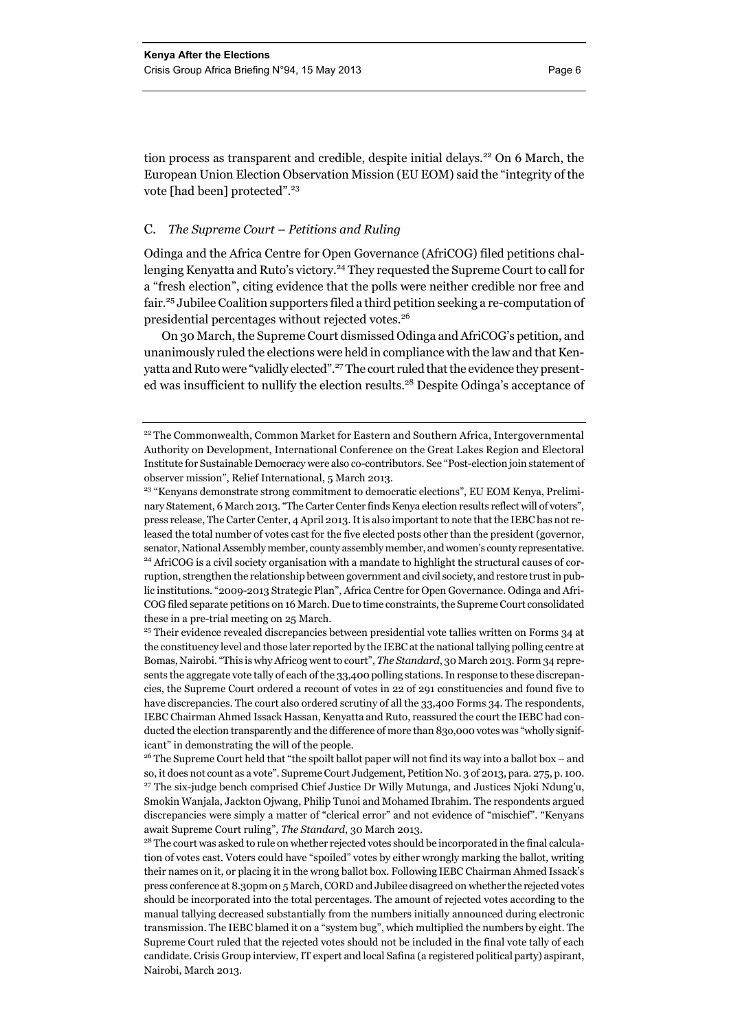tion process as transparent and credible, despite initial delays.<sup>22</sup> On 6 March, the European Union Election Observation Mission (EU EOM) said the "integrity of the vote [had been] protected".<sup>23</sup>

#### C. *The Supreme Court – Petitions and Ruling*

Odinga and the Africa Centre for Open Governance (AfriCOG) filed petitions challenging Kenyatta and Ruto's victory.<sup>24</sup> They requested the Supreme Court to call for a "fresh election", citing evidence that the polls were neither credible nor free and fair.25 Jubilee Coalition supporters filed a third petition seeking a re-computation of presidential percentages without rejected votes.<sup>26</sup>

On 30 March, the Supreme Court dismissed Odinga and AfriCOG's petition, and unanimously ruled the elections were held in compliance with the law and that Kenyatta and Ruto were "validly elected".<sup>27</sup> The court ruled that the evidence they presented was insufficient to nullify the election results.28 Despite Odinga's acceptance of

<sup>&</sup>lt;sup>22</sup> The Commonwealth, Common Market for Eastern and Southern Africa, Intergovernmental Authority on Development, International Conference on the Great Lakes Region and Electoral Institute for Sustainable Democracy were also co-contributors. See "Post-election join statement of observer mission", Relief International, 5 March 2013.

<sup>&</sup>lt;sup>23</sup> "Kenyans demonstrate strong commitment to democratic elections", EU EOM Kenya, Preliminary Statement, 6 March 2013. "The Carter Center finds Kenya election results reflect will of voters", press release, The Carter Center, 4 April 2013. It is also important to note that the IEBC has not released the total number of votes cast for the five elected posts other than the president (governor, senator, National Assembly member, county assembly member, and women's county representative.<br><sup>24</sup> AfriCOG is a civil society organisation with a mandate to highlight the structural causes of corruption, strengthen the relationship between government and civil society, and restore trust in public institutions. "2009-2013 Strategic Plan", Africa Centre for Open Governance. Odinga and Afri-COG filed separate petitions on 16 March. Due to time constraints, the Supreme Court consolidated these in a pre-trial meeting on 25 March.

<sup>&</sup>lt;sup>25</sup> Their evidence revealed discrepancies between presidential vote tallies written on Forms 34 at the constituency level and those later reported by the IEBC at the national tallying polling centre at Bomas, Nairobi. "This is why Africog went to court", *The Standard*, 30 March 2013. Form 34 represents the aggregate vote tally of each of the 33,400 polling stations. In response to these discrepancies, the Supreme Court ordered a recount of votes in 22 of 291 constituencies and found five to have discrepancies. The court also ordered scrutiny of all the 33,400 Forms 34. The respondents, IEBC Chairman Ahmed Issack Hassan, Kenyatta and Ruto, reassured the court the IEBC had conducted the election transparently and the difference of more than 83o,000 votes was "wholly significant" in demonstrating the will of the people.

<sup>&</sup>lt;sup>26</sup> The Supreme Court held that "the spoilt ballot paper will not find its way into a ballot box – and so, it does not count as a vote". Supreme Court Judgement, Petition No. 3 of 2013, para. 275, p. 100. <sup>27</sup> The six-judge bench comprised Chief Justice Dr Willy Mutunga, and Justices Njoki Ndung'u, Smokin Wanjala, Jackton Ojwang, Philip Tunoi and Mohamed Ibrahim. The respondents argued discrepancies were simply a matter of "clerical error" and not evidence of "mischief". "Kenyans await Supreme Court ruling", *The Standard*, 30 March 2013.<br><sup>28</sup> The court was asked to rule on whether rejected votes should be incorporated in the final calcula-

tion of votes cast. Voters could have "spoiled" votes by either wrongly marking the ballot, writing their names on it, or placing it in the wrong ballot box. Following IEBC Chairman Ahmed Issack's press conference at 8.30pm on 5 March, CORD and Jubilee disagreed on whether the rejected votes should be incorporated into the total percentages. The amount of rejected votes according to the manual tallying decreased substantially from the numbers initially announced during electronic transmission. The IEBC blamed it on a "system bug", which multiplied the numbers by eight. The Supreme Court ruled that the rejected votes should not be included in the final vote tally of each candidate. Crisis Group interview, IT expert and local Safina (a registered political party) aspirant, Nairobi, March 2013.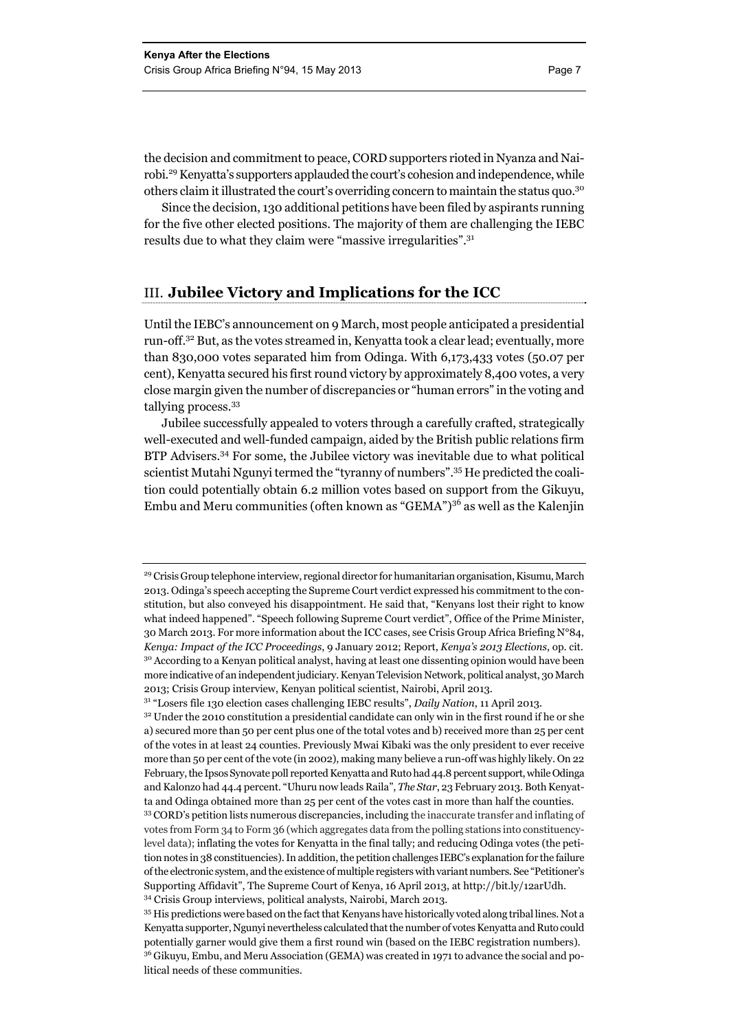the decision and commitment to peace, CORD supporters rioted in Nyanza and Nairobi.29 Kenyatta's supporters applauded the court's cohesion and independence, while others claim it illustrated the court's overriding concern to maintain the status quo.30

Since the decision, 130 additional petitions have been filed by aspirants running for the five other elected positions. The majority of them are challenging the IEBC results due to what they claim were "massive irregularities".<sup>31</sup>

#### III. **Jubilee Victory and Implications for the ICC**

Until the IEBC's announcement on 9 March, most people anticipated a presidential run-off.32 But, as the votes streamed in, Kenyatta took a clear lead; eventually, more than 830,000 votes separated him from Odinga. With 6,173,433 votes (50.07 per cent), Kenyatta secured his first round victory by approximately 8,400 votes, a very close margin given the number of discrepancies or "human errors" in the voting and tallying process.<sup>33</sup>

Jubilee successfully appealed to voters through a carefully crafted, strategically well-executed and well-funded campaign, aided by the British public relations firm BTP Advisers.34 For some, the Jubilee victory was inevitable due to what political scientist Mutahi Ngunyi termed the "tyranny of numbers".35 He predicted the coalition could potentially obtain 6.2 million votes based on support from the Gikuyu, Embu and Meru communities (often known as "GEMA")36 as well as the Kalenjin

<sup>&</sup>lt;sup>29</sup> Crisis Group telephone interview, regional director for humanitarian organisation, Kisumu, March 2013. Odinga's speech accepting the Supreme Court verdict expressed his commitment to the constitution, but also conveyed his disappointment. He said that, "Kenyans lost their right to know what indeed happened". "Speech following Supreme Court verdict", Office of the Prime Minister, 30 March 2013. For more information about the ICC cases, see Crisis Group Africa Briefing N°84, *Kenya: Impact of the ICC Proceedings*, 9 January 2012; Report, *Kenya's 2013 Elections*, op. cit. <sup>30</sup> According to a Kenyan political analyst, having at least one dissenting opinion would have been more indicative of an independent judiciary. Kenyan Television Network, political analyst, 30 March 2013; Crisis Group interview, Kenyan political scientist, Nairobi, April 2013.

<sup>&</sup>lt;sup>31</sup> "Losers file 130 election cases challenging IEBC results", *Daily Nation*, 11 April 2013.<br><sup>32</sup> Under the 2010 constitution a presidential candidate can only win in the first round if he or she a) secured more than 50 per cent plus one of the total votes and b) received more than 25 per cent of the votes in at least 24 counties. Previously Mwai Kibaki was the only president to ever receive more than 50 per cent of the vote (in 2002), making many believe a run-off was highly likely. On 22 February, the Ipsos Synovate poll reported Kenyatta and Ruto had 44.8 percent support, while Odinga and Kalonzo had 44.4 percent. "Uhuru now leads Raila", *The Star*, 23 February 2013. Both Kenyatta and Odinga obtained more than 25 per cent of the votes cast in more than half the counties.<br><sup>33</sup> CORD's petition lists numerous discrepancies, including the inaccurate transfer and inflating of

votes from Form 34 to Form 36 (which aggregates data from the polling stations into constituencylevel data); inflating the votes for Kenyatta in the final tally; and reducing Odinga votes (the petition notes in 38 constituencies). In addition, the petition challenges IEBC's explanation for the failure of the electronic system, and the existence of multiple registers with variant numbers. See "Petitioner's Supporting Affidavit", The Supreme Court of Kenya, 16 April 2013, at http://bit.ly/12arUdh. 34 Crisis Group interviews, political analysts, Nairobi, March 2013.

<sup>&</sup>lt;sup>35</sup> His predictions were based on the fact that Kenyans have historically voted along tribal lines. Not a Kenyatta supporter, Ngunyi nevertheless calculated that the number of votes Kenyatta and Ruto could potentially garner would give them a first round win (based on the IEBC registration numbers). <sup>36</sup> Gikuyu, Embu, and Meru Association (GEMA) was created in 1971 to advance the social and political needs of these communities.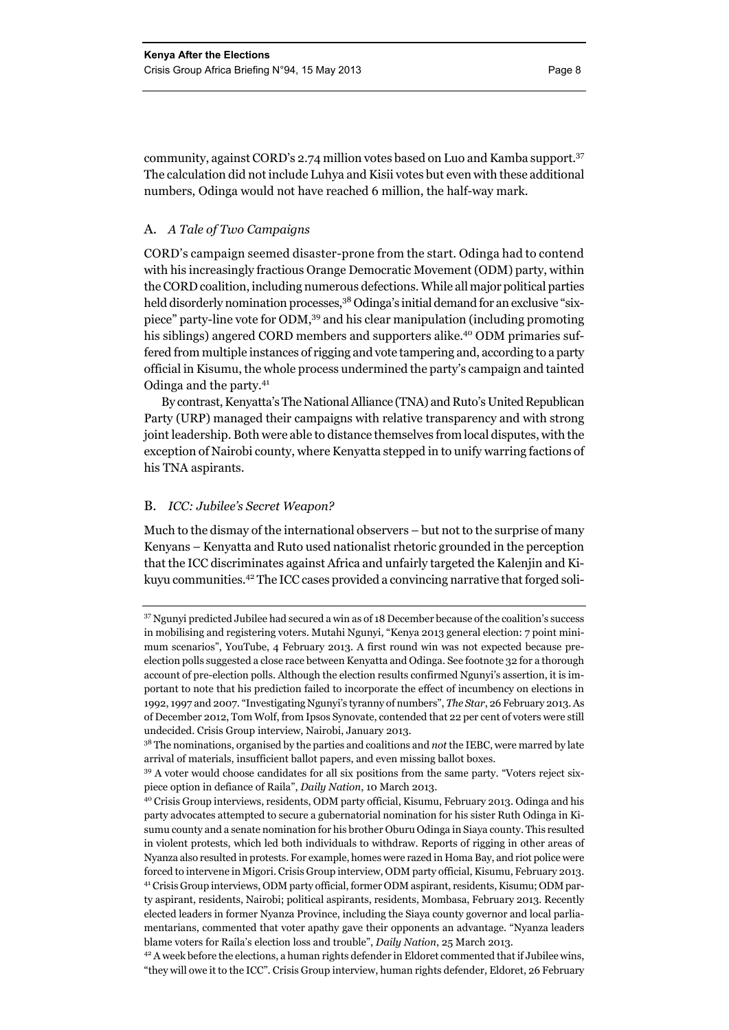community, against CORD's 2.74 million votes based on Luo and Kamba support.37 The calculation did not include Luhya and Kisii votes but even with these additional numbers, Odinga would not have reached 6 million, the half-way mark.

#### A. *A Tale of Two Campaigns*

CORD's campaign seemed disaster-prone from the start. Odinga had to contend with his increasingly fractious Orange Democratic Movement (ODM) party, within the CORD coalition, including numerous defections. While all major political parties held disorderly nomination processes,<sup>38</sup> Odinga's initial demand for an exclusive "sixpiece" party-line vote for ODM,39 and his clear manipulation (including promoting his siblings) angered CORD members and supporters alike.<sup>40</sup> ODM primaries suffered from multiple instances of rigging and vote tampering and, according to a party official in Kisumu, the whole process undermined the party's campaign and tainted Odinga and the party.<sup>41</sup>

By contrast, Kenyatta's The National Alliance (TNA) and Ruto's United Republican Party (URP) managed their campaigns with relative transparency and with strong joint leadership. Both were able to distance themselves from local disputes, with the exception of Nairobi county, where Kenyatta stepped in to unify warring factions of his TNA aspirants.

#### B. *ICC: Jubilee's Secret Weapon?*

Much to the dismay of the international observers – but not to the surprise of many Kenyans – Kenyatta and Ruto used nationalist rhetoric grounded in the perception that the ICC discriminates against Africa and unfairly targeted the Kalenjin and Kikuyu communities.42 The ICC cases provided a convincing narrative that forged soli-

<sup>&</sup>lt;sup>37</sup> Ngunyi predicted Jubilee had secured a win as of 18 December because of the coalition's success in mobilising and registering voters. Mutahi Ngunyi, "Kenya 2013 general election: 7 point minimum scenarios", YouTube, 4 February 2013. A first round win was not expected because preelection polls suggested a close race between Kenyatta and Odinga. See footnote 32 for a thorough account of pre-election polls. Although the election results confirmed Ngunyi's assertion, it is important to note that his prediction failed to incorporate the effect of incumbency on elections in 1992, 1997 and 2007. "Investigating Ngunyi's tyranny of numbers", *The Star*, 26 February 2013. As of December 2012, Tom Wolf, from Ipsos Synovate, contended that 22 per cent of voters were still undecided. Crisis Group interview, Nairobi, January 2013.

<sup>38</sup> The nominations, organised by the parties and coalitions and *not* the IEBC, were marred by late arrival of materials, insufficient ballot papers, and even missing ballot boxes.

<sup>&</sup>lt;sup>39</sup> A voter would choose candidates for all six positions from the same party. "Voters reject six-

piece option in defiance of Raila", *Daily Nation*, 10 March 2013. 40 Crisis Group interviews, residents, ODM party official, Kisumu, February 2013. Odinga and his party advocates attempted to secure a gubernatorial nomination for his sister Ruth Odinga in Kisumu county and a senate nomination for his brother Oburu Odinga in Siaya county. This resulted in violent protests, which led both individuals to withdraw. Reports of rigging in other areas of Nyanza also resulted in protests. For example, homes were razed in Homa Bay, and riot police were forced to intervene in Migori. Crisis Group interview, ODM party official, Kisumu, February 2013. 41 Crisis Group interviews, ODM party official, former ODM aspirant, residents, Kisumu; ODM party aspirant, residents, Nairobi; political aspirants, residents, Mombasa, February 2013. Recently elected leaders in former Nyanza Province, including the Siaya county governor and local parliamentarians, commented that voter apathy gave their opponents an advantage. "Nyanza leaders

blame voters for Raila's election loss and trouble", *Daily Nation*, 25 March 2013.<br><sup>42</sup> A week before the elections, a human rights defender in Eldoret commented that if Jubilee wins, "they will owe it to the ICC". Crisis Group interview, human rights defender, Eldoret, 26 February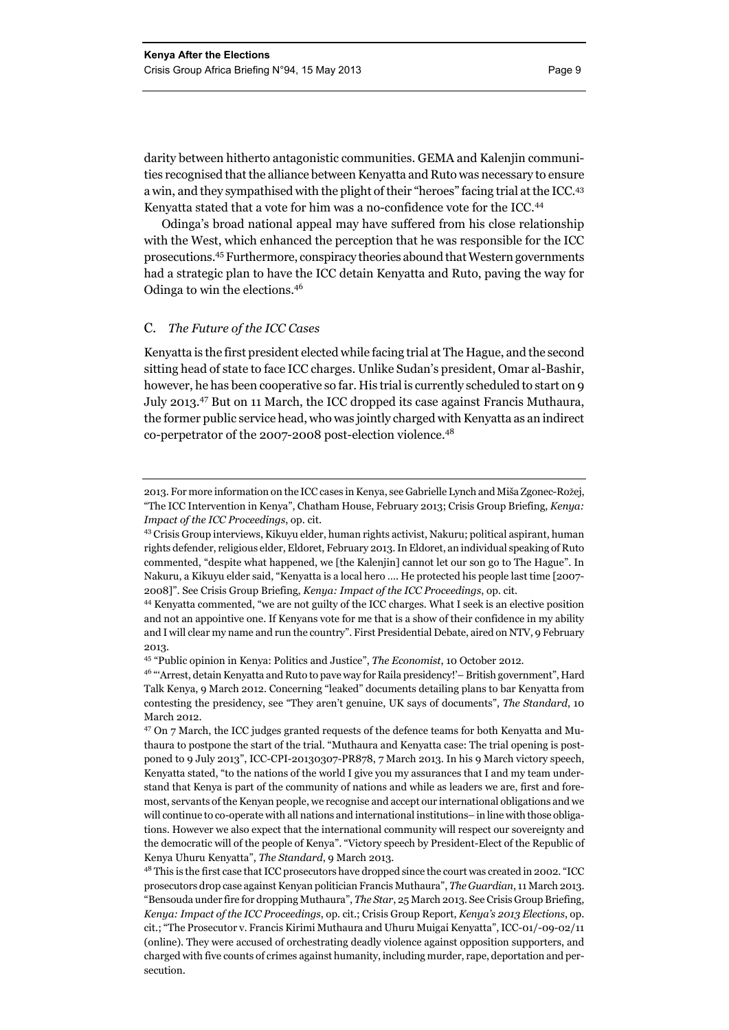darity between hitherto antagonistic communities. GEMA and Kalenjin communities recognised that the alliance between Kenyatta and Ruto was necessary to ensure a win, and they sympathised with the plight of their "heroes" facing trial at the ICC.43 Kenyatta stated that a vote for him was a no-confidence vote for the ICC.<sup>44</sup>

Odinga's broad national appeal may have suffered from his close relationship with the West, which enhanced the perception that he was responsible for the ICC prosecutions.45 Furthermore, conspiracy theories abound that Western governments had a strategic plan to have the ICC detain Kenyatta and Ruto, paving the way for Odinga to win the elections.<sup>46</sup>

#### C. *The Future of the ICC Cases*

Kenyatta is the first president elected while facing trial at The Hague, and the second sitting head of state to face ICC charges. Unlike Sudan's president, Omar al-Bashir, however, he has been cooperative so far. His trial is currently scheduled to start on 9 July 2013.47 But on 11 March, the ICC dropped its case against Francis Muthaura, the former public service head, who was jointly charged with Kenyatta as an indirect co-perpetrator of the 2007-2008 post-election violence.<sup>48</sup>

<sup>2013.</sup> For more information on the ICC cases in Kenya, see Gabrielle Lynch and Miša Zgonec-Rožej, "The ICC Intervention in Kenya", Chatham House, February 2013; Crisis Group Briefing, *Kenya: Impact of the ICC Proceedings*, op. cit.<br><sup>43</sup> Crisis Group interviews, Kikuyu elder, human rights activist, Nakuru; political aspirant, human

rights defender, religious elder, Eldoret, February 2013. In Eldoret, an individual speaking of Ruto commented, "despite what happened, we [the Kalenjin] cannot let our son go to The Hague". In Nakuru, a Kikuyu elder said, "Kenyatta is a local hero …. He protected his people last time [2007- 2008]". See Crisis Group Briefing, *Kenya: Impact of the ICC Proceedings*, op. cit. 44 Kenyatta commented, "we are not guilty of the ICC charges. What I seek is an elective position

and not an appointive one. If Kenyans vote for me that is a show of their confidence in my ability and I will clear my name and run the country". First Presidential Debate, aired on NTV, 9 February 2013.

<sup>45 &</sup>quot;Public opinion in Kenya: Politics and Justice", *The Economist*, 10 October 2012.

<sup>46 &</sup>quot;'Arrest, detain Kenyatta and Ruto to pave way for Raila presidency!'– British government", Hard Talk Kenya, 9 March 2012. Concerning "leaked" documents detailing plans to bar Kenyatta from contesting the presidency, see "They aren't genuine, UK says of documents", *The Standard*, 10 March 2012.

<sup>&</sup>lt;sup>47</sup> On 7 March, the ICC judges granted requests of the defence teams for both Kenyatta and Muthaura to postpone the start of the trial. "Muthaura and Kenyatta case: The trial opening is postponed to 9 July 2013", ICC-CPI-20130307-PR878, 7 March 2013. In his 9 March victory speech, Kenyatta stated, "to the nations of the world I give you my assurances that I and my team understand that Kenya is part of the community of nations and while as leaders we are, first and foremost, servants of the Kenyan people, we recognise and accept our international obligations and we will continue to co-operate with all nations and international institutions– in line with those obligations. However we also expect that the international community will respect our sovereignty and the democratic will of the people of Kenya". "Victory speech by President-Elect of the Republic of Kenya Uhuru Kenyatta", *The Standard*, 9 March 2013.

<sup>48</sup> This is the first case that ICC prosecutors have dropped since the court was created in 2002. "ICC prosecutors drop case against Kenyan politician Francis Muthaura", *The Guardian*, 11 March 2013. "Bensouda under fire for dropping Muthaura", *The Star*, 25 March 2013. See Crisis Group Briefing, *Kenya: Impact of the ICC Proceedings*, op. cit.; Crisis Group Report, *Kenya's 2013 Elections*, op. cit.; "The Prosecutor v. Francis Kirimi Muthaura and Uhuru Muigai Kenyatta", ICC-01/-09-02/11 (online). They were accused of orchestrating deadly violence against opposition supporters, and charged with five counts of crimes against humanity, including murder, rape, deportation and persecution.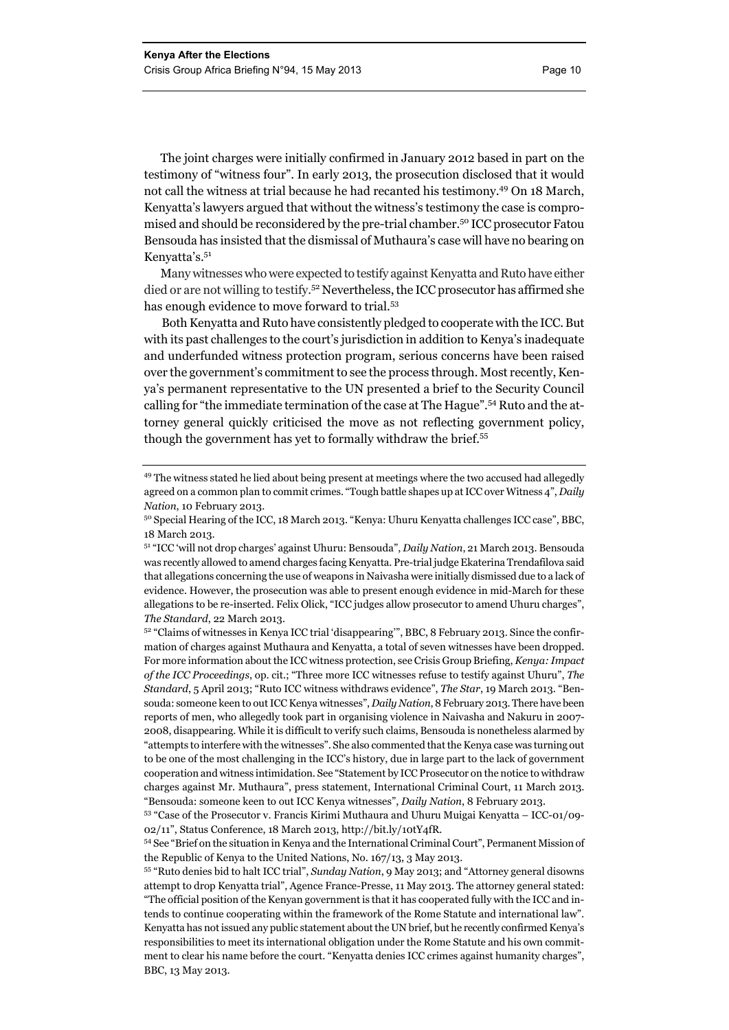The joint charges were initially confirmed in January 2012 based in part on the testimony of "witness four". In early 2013, the prosecution disclosed that it would not call the witness at trial because he had recanted his testimony.49 On 18 March, Kenyatta's lawyers argued that without the witness's testimony the case is compromised and should be reconsidered by the pre-trial chamber.50 ICC prosecutor Fatou Bensouda has insisted that the dismissal of Muthaura's case will have no bearing on Kenyatta's.<sup>51</sup>

Many witnesses who were expected to testify against Kenyatta and Ruto have either died or are not willing to testify.52 Nevertheless, the ICC prosecutor has affirmed she has enough evidence to move forward to trial.53

Both Kenyatta and Ruto have consistently pledged to cooperate with the ICC. But with its past challenges to the court's jurisdiction in addition to Kenya's inadequate and underfunded witness protection program, serious concerns have been raised over the government's commitment to see the process through. Most recently, Kenya's permanent representative to the UN presented a brief to the Security Council calling for "the immediate termination of the case at The Hague".54 Ruto and the attorney general quickly criticised the move as not reflecting government policy, though the government has yet to formally withdraw the brief.<sup>55</sup>

<sup>49</sup> The witness stated he lied about being present at meetings where the two accused had allegedly agreed on a common plan to commit crimes. "Tough battle shapes up at ICC over Witness 4", *Daily Nation*, 10 February 2013.<br><sup>50</sup> Special Hearing of the ICC, 18 March 2013. "Kenya: Uhuru Kenyatta challenges ICC case", BBC,

<sup>18</sup> March 2013.

<sup>51 &</sup>quot;ICC 'will not drop charges' against Uhuru: Bensouda", *Daily Nation*, 21 March 2013. Bensouda was recently allowed to amend charges facing Kenyatta. Pre-trial judge Ekaterina Trendafilova said that allegations concerning the use of weapons in Naivasha were initially dismissed due to a lack of evidence. However, the prosecution was able to present enough evidence in mid-March for these allegations to be re-inserted. Felix Olick, "ICC judges allow prosecutor to amend Uhuru charges", *The Standard*, 22 March 2013.<br><sup>52</sup> "Claims of witnesses in Kenya ICC trial 'disappearing'", BBC, 8 February 2013. Since the confir-

mation of charges against Muthaura and Kenyatta, a total of seven witnesses have been dropped. For more information about the ICC witness protection, see Crisis Group Briefing, *Kenya: Impact of the ICC Proceedings*, op. cit.; "Three more ICC witnesses refuse to testify against Uhuru", *The Standard*, 5 April 2013; "Ruto ICC witness withdraws evidence", *The Star*, 19 March 2013. "Bensouda: someone keen to out ICC Kenya witnesses", *Daily Nation*, 8 February 2013. There have been reports of men, who allegedly took part in organising violence in Naivasha and Nakuru in 2007- 2008, disappearing. While it is difficult to verify such claims, Bensouda is nonetheless alarmed by "attempts to interfere with the witnesses". She also commented that the Kenya case was turning out to be one of the most challenging in the ICC's history, due in large part to the lack of government cooperation and witness intimidation. See "Statement by ICC Prosecutor on the notice to withdraw charges against Mr. Muthaura", press statement, International Criminal Court, 11 March 2013. "Bensouda: someone keen to out ICC Kenya witnesses", *Daily Nation*, 8 February 2013. 53 "Case of the Prosecutor v. Francis Kirimi Muthaura and Uhuru Muigai Kenyatta – ICC-01/09-

<sup>02/11&</sup>quot;, Status Conference, 18 March 2013, http://bit.ly/10tY4fR.

<sup>54</sup> See "Brief on the situation in Kenya and the International Criminal Court", Permanent Mission of the Republic of Kenya to the United Nations, No. 167/13, 3 May 2013. 55 "Ruto denies bid to halt ICC trial", *Sunday Nation*, 9 May 2013; and "Attorney general disowns

attempt to drop Kenyatta trial", Agence France-Presse, 11 May 2013. The attorney general stated: "The official position of the Kenyan government is that it has cooperated fully with the ICC and intends to continue cooperating within the framework of the Rome Statute and international law". Kenyatta has not issued any public statement about the UN brief, but he recently confirmed Kenya's responsibilities to meet its international obligation under the Rome Statute and his own commitment to clear his name before the court. "Kenyatta denies ICC crimes against humanity charges", BBC, 13 May 2013.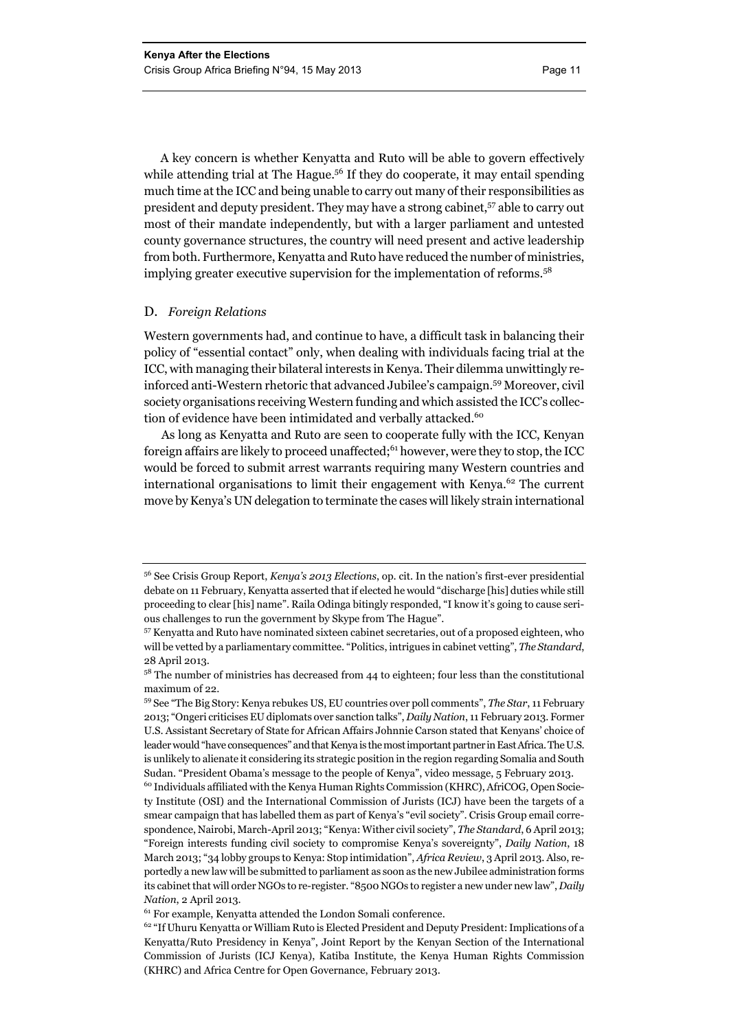A key concern is whether Kenyatta and Ruto will be able to govern effectively while attending trial at The Hague.<sup>56</sup> If they do cooperate, it may entail spending much time at the ICC and being unable to carry out many of their responsibilities as president and deputy president. They may have a strong cabinet,<sup>57</sup> able to carry out most of their mandate independently, but with a larger parliament and untested county governance structures, the country will need present and active leadership from both. Furthermore, Kenyatta and Ruto have reduced the number of ministries, implying greater executive supervision for the implementation of reforms.<sup>58</sup>

#### D. *Foreign Relations*

Western governments had, and continue to have, a difficult task in balancing their policy of "essential contact" only, when dealing with individuals facing trial at the ICC, with managing their bilateral interests in Kenya. Their dilemma unwittingly reinforced anti-Western rhetoric that advanced Jubilee's campaign.59 Moreover, civil society organisations receiving Western funding and which assisted the ICC's collection of evidence have been intimidated and verbally attacked.<sup>60</sup>

As long as Kenyatta and Ruto are seen to cooperate fully with the ICC, Kenyan foreign affairs are likely to proceed unaffected;<sup>61</sup> however, were they to stop, the ICC would be forced to submit arrest warrants requiring many Western countries and international organisations to limit their engagement with Kenya. $62$  The current move by Kenya's UN delegation to terminate the cases will likely strain international

<sup>56</sup> See Crisis Group Report, *Kenya's 2013 Elections*, op. cit. In the nation's first-ever presidential debate on 11 February, Kenyatta asserted that if elected he would "discharge [his] duties while still proceeding to clear [his] name". Raila Odinga bitingly responded, "I know it's going to cause serious challenges to run the government by Skype from The Hague".

<sup>57</sup> Kenyatta and Ruto have nominated sixteen cabinet secretaries, out of a proposed eighteen, who will be vetted by a parliamentary committee. "Politics, intrigues in cabinet vetting", *The Standard*, 28 April 2013.

 $^{58}$  The number of ministries has decreased from 44 to eighteen; four less than the constitutional maximum of 22.

<sup>59</sup> See "The Big Story: Kenya rebukes US, EU countries over poll comments", *The Star*, 11 February 2013; "Ongeri criticises EU diplomats over sanction talks", *Daily Nation*, 11 February 2013. Former U.S. Assistant Secretary of State for African Affairs Johnnie Carson stated that Kenyans' choice of leader would "have consequences" and that Kenya is the most important partner in East Africa. The U.S. is unlikely to alienate it considering its strategic position in the region regarding Somalia and South Sudan. "President Obama's message to the people of Kenya", video message, 5 February 2013.

<sup>60</sup> Individuals affiliated with the Kenya Human Rights Commission (KHRC), AfriCOG, Open Society Institute (OSI) and the International Commission of Jurists (ICJ) have been the targets of a smear campaign that has labelled them as part of Kenya's "evil society". Crisis Group email correspondence, Nairobi, March-April 2013; "Kenya: Wither civil society", *The Standard*, 6 April 2013; "Foreign interests funding civil society to compromise Kenya's sovereignty", *Daily Nation*, 18 March 2013; "34 lobby groups to Kenya: Stop intimidation", *Africa Review*, 3 April 2013. Also, reportedly a new law will be submitted to parliament as soon as the new Jubilee administration forms its cabinet that will order NGOs to re-register. "8500 NGOs to register a new under new law", *Daily Nation*, 2 April 2013.<br><sup>61</sup> For example, Kenyatta attended the London Somali conference.

<sup>&</sup>lt;sup>62</sup> "If Uhuru Kenyatta or William Ruto is Elected President and Deputy President: Implications of a Kenyatta/Ruto Presidency in Kenya", Joint Report by the Kenyan Section of the International Commission of Jurists (ICJ Kenya), Katiba Institute, the Kenya Human Rights Commission (KHRC) and Africa Centre for Open Governance, February 2013.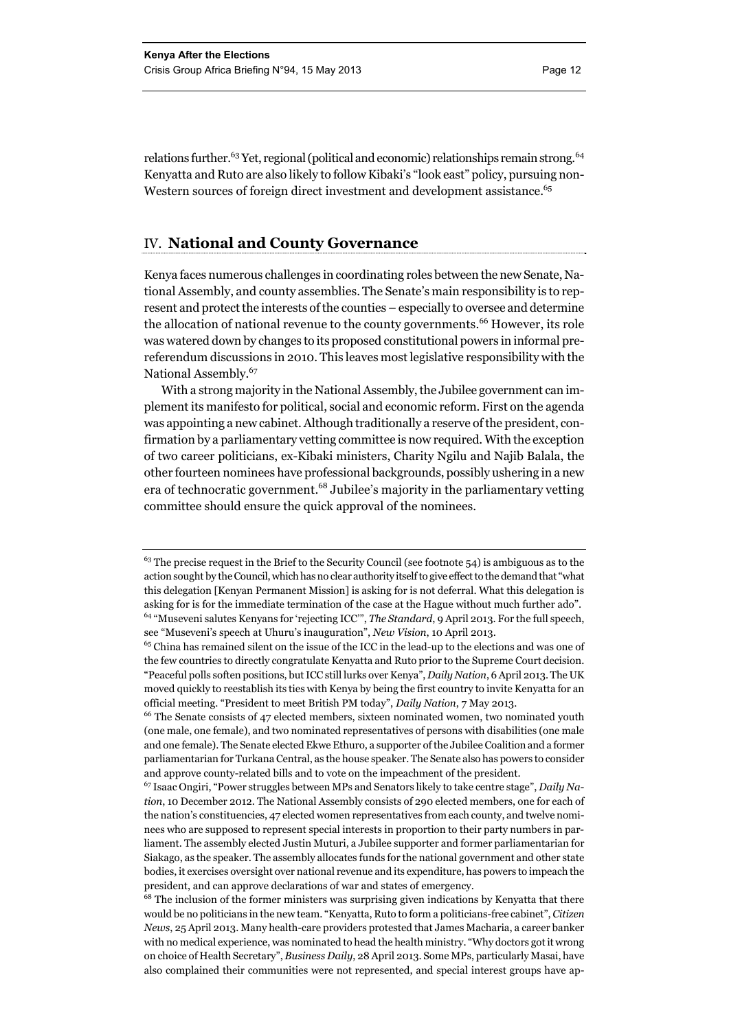relations further.<sup>63</sup> Yet, regional (political and economic) relationships remain strong.<sup>64</sup> Kenyatta and Ruto are also likely to follow Kibaki's "look east" policy, pursuing non-Western sources of foreign direct investment and development assistance.<sup>65</sup>

#### IV. **National and County Governance**

Kenya faces numerous challenges in coordinating roles between the new Senate, National Assembly, and county assemblies. The Senate's main responsibility is to represent and protect the interests of the counties – especially to oversee and determine the allocation of national revenue to the county governments.<sup>66</sup> However, its role was watered down by changes to its proposed constitutional powers in informal prereferendum discussions in 2010. This leaves most legislative responsibility with the National Assembly.67

With a strong majority in the National Assembly, the Jubilee government can implement its manifesto for political, social and economic reform. First on the agenda was appointing a new cabinet. Although traditionally a reserve of the president, confirmation by a parliamentary vetting committee is now required. With the exception of two career politicians, ex-Kibaki ministers, Charity Ngilu and Najib Balala, the other fourteen nominees have professional backgrounds, possibly ushering in a new era of technocratic government.68 Jubilee's majority in the parliamentary vetting committee should ensure the quick approval of the nominees.

<sup>&</sup>lt;sup>63</sup> The precise request in the Brief to the Security Council (see footnote 54) is ambiguous as to the action sought by the Council, which has no clear authority itself to give effect to the demand that "what this delegation [Kenyan Permanent Mission] is asking for is not deferral. What this delegation is asking for is for the immediate termination of the case at the Hague without much further ado". 64 "Museveni salutes Kenyans for 'rejecting ICC'", *The Standard*, 9 April 2013. For the full speech, see "Museveni's speech at Uhuru's inauguration", *New Vision*, 10 April 2013.

<sup>65</sup> China has remained silent on the issue of the ICC in the lead-up to the elections and was one of the few countries to directly congratulate Kenyatta and Ruto prior to the Supreme Court decision. "Peaceful polls soften positions, but ICC still lurks over Kenya", *Daily Nation*, 6 April 2013. The UK moved quickly to reestablish its ties with Kenya by being the first country to invite Kenyatta for an official meeting. "President to meet British PM today", *Daily Nation*, 7 May 2013.<br><sup>66</sup> The Senate consists of 47 elected members, sixteen nominated women, two nominated youth

<sup>(</sup>one male, one female), and two nominated representatives of persons with disabilities (one male and one female). The Senate elected Ekwe Ethuro, a supporter of the Jubilee Coalition and a former parliamentarian for Turkana Central, as the house speaker. The Senate also has powers to consider and approve county-related bills and to vote on the impeachment of the president.

<sup>67</sup> Isaac Ongiri, "Power struggles between MPs and Senators likely to take centre stage", *Daily Nation*, 10 December 2012. The National Assembly consists of 290 elected members, one for each of the nation's constituencies, 47 elected women representatives from each county, and twelve nominees who are supposed to represent special interests in proportion to their party numbers in parliament. The assembly elected Justin Muturi, a Jubilee supporter and former parliamentarian for Siakago, as the speaker. The assembly allocates funds for the national government and other state bodies, it exercises oversight over national revenue and its expenditure, has powers to impeach the president, and can approve declarations of war and states of emergency.  $^{68}$  The inclusion of the former ministers was surprising given indications by Kenyatta that there

would be no politicians in the new team. "Kenyatta, Ruto to form a politicians-free cabinet", *Citizen News*, 25 April 2013. Many health-care providers protested that James Macharia, a career banker with no medical experience, was nominated to head the health ministry. "Why doctors got it wrong on choice of Health Secretary", *Business Daily*, 28 April 2013. Some MPs, particularly Masai, have also complained their communities were not represented, and special interest groups have ap-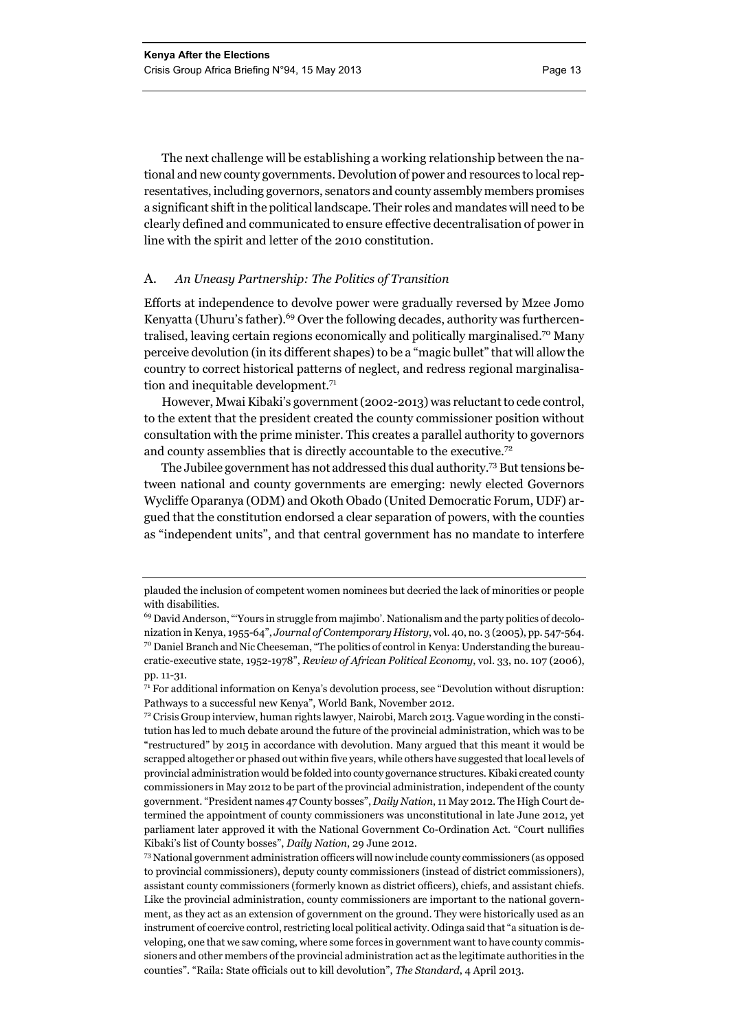The next challenge will be establishing a working relationship between the national and new county governments. Devolution of power and resources to local representatives, including governors, senators and county assembly members promises a significant shift in the political landscape. Their roles and mandates will need to be clearly defined and communicated to ensure effective decentralisation of power in line with the spirit and letter of the 2010 constitution.

#### A. *An Uneasy Partnership: The Politics of Transition*

Efforts at independence to devolve power were gradually reversed by Mzee Jomo Kenyatta (Uhuru's father).<sup>69</sup> Over the following decades, authority was furthercentralised, leaving certain regions economically and politically marginalised.70 Many perceive devolution (in its different shapes) to be a "magic bullet" that will allow the country to correct historical patterns of neglect, and redress regional marginalisation and inequitable development.<sup>71</sup>

However, Mwai Kibaki's government (2002-2013) was reluctant to cede control, to the extent that the president created the county commissioner position without consultation with the prime minister. This creates a parallel authority to governors and county assemblies that is directly accountable to the executive.<sup>72</sup>

The Jubilee government has not addressed this dual authority.73 But tensions between national and county governments are emerging: newly elected Governors Wycliffe Oparanya (ODM) and Okoth Obado (United Democratic Forum, UDF) argued that the constitution endorsed a clear separation of powers, with the counties as "independent units", and that central government has no mandate to interfere

plauded the inclusion of competent women nominees but decried the lack of minorities or people with disabilities.

<sup>69</sup> David Anderson, "'Yours in struggle from majimbo'. Nationalism and the party politics of decolonization in Kenya, 1955-64", *Journal of Contemporary History*, vol. 40, no. 3 (2005), pp. 547-564. 70 Daniel Branch and Nic Cheeseman, "The politics of control in Kenya: Understanding the bureaucratic-executive state, 1952-1978", *Review of African Political Economy*, vol. 33, no. 107 (2006), pp. 11-31.

 $71$  For additional information on Kenya's devolution process, see "Devolution without disruption: Pathways to a successful new Kenya", World Bank, November 2012. 72 Crisis Group interview, human rights lawyer, Nairobi, March 2013. Vague wording in the consti-

tution has led to much debate around the future of the provincial administration, which was to be "restructured" by 2015 in accordance with devolution. Many argued that this meant it would be scrapped altogether or phased out within five years, while others have suggested that local levels of provincial administration would be folded into county governance structures. Kibaki created county commissioners in May 2012 to be part of the provincial administration, independent of the county government. "President names 47 County bosses", *Daily Nation*, 11 May 2012. The High Court determined the appointment of county commissioners was unconstitutional in late June 2012, yet parliament later approved it with the National Government Co-Ordination Act. "Court nullifies Kibaki's list of County bosses", *Daily Nation*, 29 June 2012. 73 National government administration officers will now include county commissioners (as opposed

to provincial commissioners), deputy county commissioners (instead of district commissioners), assistant county commissioners (formerly known as district officers), chiefs, and assistant chiefs. Like the provincial administration, county commissioners are important to the national government, as they act as an extension of government on the ground. They were historically used as an instrument of coercive control, restricting local political activity. Odinga said that "a situation is developing, one that we saw coming, where some forces in government want to have county commissioners and other members of the provincial administration act as the legitimate authorities in the counties". "Raila: State officials out to kill devolution", *The Standard*, 4 April 2013.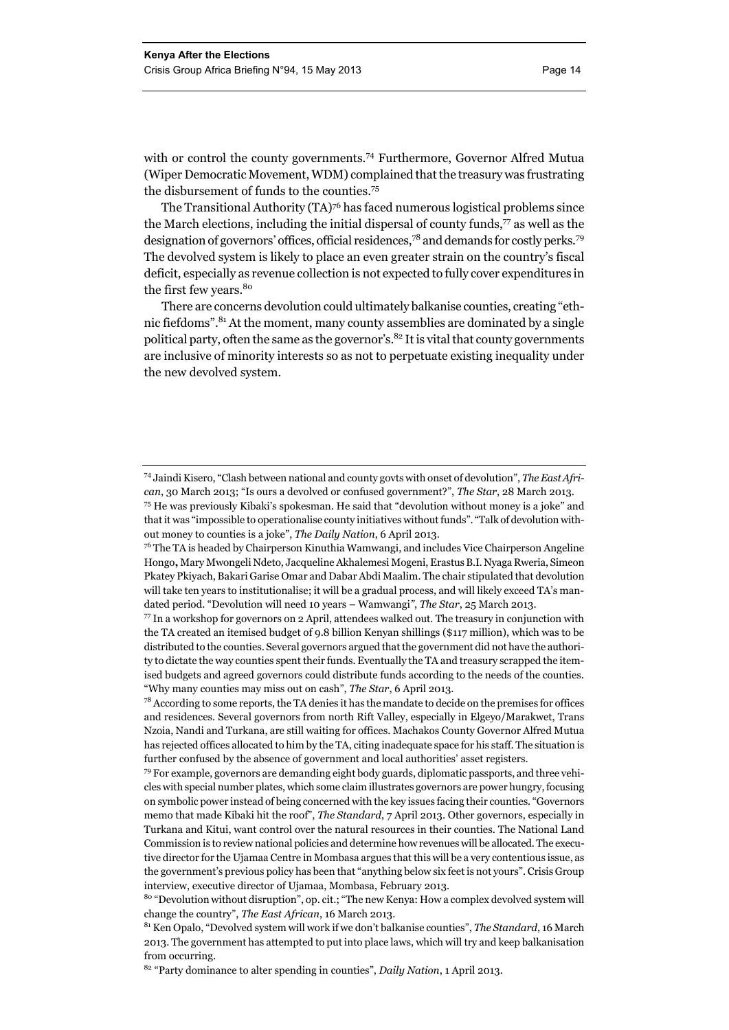with or control the county governments.<sup>74</sup> Furthermore, Governor Alfred Mutua (Wiper Democratic Movement, WDM) complained that the treasury was frustrating the disbursement of funds to the counties.<sup>75</sup>

The Transitional Authority (TA)76 has faced numerous logistical problems since the March elections, including the initial dispersal of county funds, $\frac{7}{7}$  as well as the designation of governors' offices, official residences,78 and demands for costly perks.79 The devolved system is likely to place an even greater strain on the country's fiscal deficit, especially as revenue collection is not expected to fully cover expenditures in the first few years.<sup>80</sup>

There are concerns devolution could ultimately balkanise counties, creating "ethnic fiefdoms".<sup>81</sup> At the moment, many county assemblies are dominated by a single political party, often the same as the governor's.<sup>82</sup> It is vital that county governments are inclusive of minority interests so as not to perpetuate existing inequality under the new devolved system.

<sup>74</sup> Jaindi Kisero, "Clash between national and county govts with onset of devolution", *The East African*, 30 March 2013; "Is ours a devolved or confused government?", *The Star*, 28 March 2013. 75 He was previously Kibaki's spokesman. He said that "devolution without money is a joke" and

that it was "impossible to operationalise county initiatives without funds". "Talk of devolution without money to counties is a joke", *The Daily Nation*, 6 April 2013.

<sup>&</sup>lt;sup>76</sup> The TA is headed by Chairperson Kinuthia Wamwangi, and includes Vice Chairperson Angeline Hongo**,** Mary Mwongeli Ndeto, Jacqueline Akhalemesi Mogeni, Erastus B.I. Nyaga Rweria, Simeon Pkatey Pkiyach, Bakari Garise Omar and Dabar Abdi Maalim. The chair stipulated that devolution will take ten years to institutionalise; it will be a gradual process, and will likely exceed TA's mandated period. "Devolution will need 10 years – Wamwangi*"*, *The Star*, 25 March 2013.

 $\frac{77}{10}$  In a workshop for governors on 2 April, attendees walked out. The treasury in conjunction with the TA created an itemised budget of 9.8 billion Kenyan shillings (\$117 million), which was to be distributed to the counties. Several governors argued that the government did not have the authority to dictate the way counties spent their funds. Eventually the TA and treasury scrapped the itemised budgets and agreed governors could distribute funds according to the needs of the counties. "Why many counties may miss out on cash", *The Star*, 6 April 2013.

<sup>&</sup>lt;sup>78</sup> According to some reports, the TA denies it has the mandate to decide on the premises for offices and residences. Several governors from north Rift Valley, especially in Elgeyo/Marakwet, Trans Nzoia, Nandi and Turkana, are still waiting for offices. Machakos County Governor Alfred Mutua has rejected offices allocated to him by the TA, citing inadequate space for his staff. The situation is further confused by the absence of government and local authorities' asset registers.

<sup>79</sup> For example, governors are demanding eight body guards, diplomatic passports, and three vehicles with special number plates, which some claim illustrates governors are power hungry, focusing on symbolic power instead of being concerned with the key issues facing their counties. "Governors memo that made Kibaki hit the roof", *The Standard*, 7 April 2013. Other governors, especially in Turkana and Kitui, want control over the natural resources in their counties. The National Land Commission is to review national policies and determine how revenues will be allocated. The executive director for the Ujamaa Centre in Mombasa argues that this will be a very contentious issue, as the government's previous policy has been that "anything below six feet is not yours". Crisis Group interview, executive director of Ujamaa, Mombasa, February 2013.

<sup>80 &</sup>quot;Devolution without disruption", op. cit.; "The new Kenya: How a complex devolved system will change the country", *The East African*, 16 March 2013.<br><sup>81</sup> Ken Opalo, "Devolved system will work if we don't balkanise counties", *The Standard*, 16 March

<sup>2013.</sup> The government has attempted to put into place laws, which will try and keep balkanisation from occurring.

<sup>82 &</sup>quot;Party dominance to alter spending in counties", *Daily Nation*, 1 April 2013.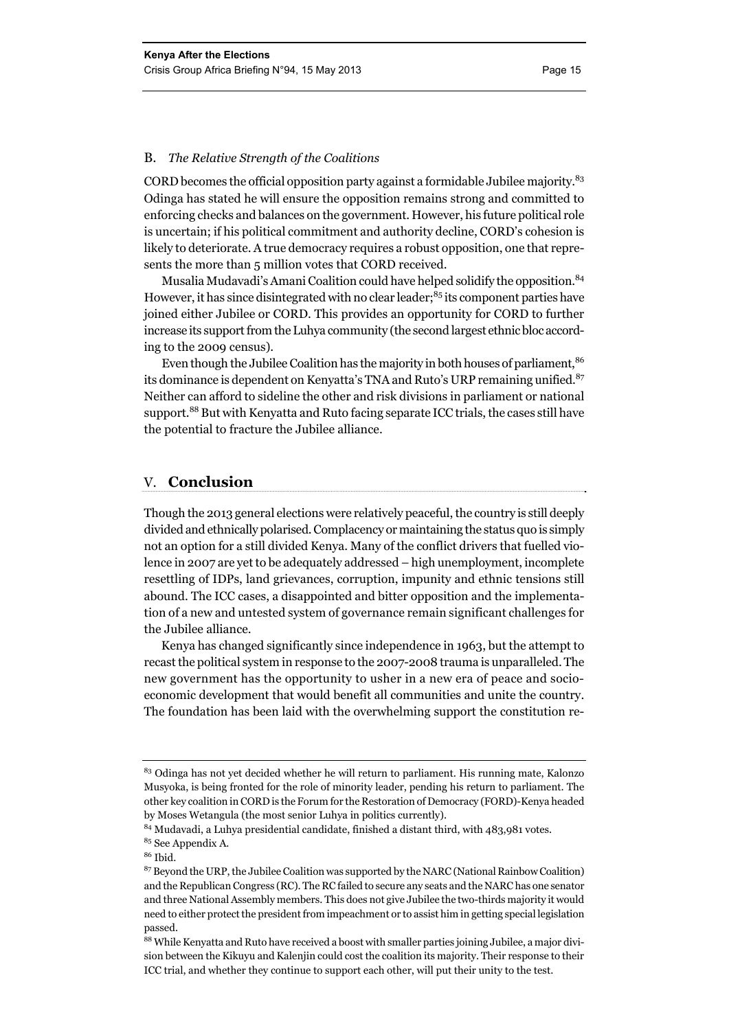#### B. *The Relative Strength of the Coalitions*

CORD becomes the official opposition party against a formidable Jubilee majority. $83$ Odinga has stated he will ensure the opposition remains strong and committed to enforcing checks and balances on the government. However, his future political role is uncertain; if his political commitment and authority decline, CORD's cohesion is likely to deteriorate. A true democracy requires a robust opposition, one that represents the more than 5 million votes that CORD received.

Musalia Mudavadi's Amani Coalition could have helped solidify the opposition.<sup>84</sup> However, it has since disintegrated with no clear leader;<sup>85</sup> its component parties have joined either Jubilee or CORD. This provides an opportunity for CORD to further increase its support from the Luhya community (the second largest ethnic bloc according to the 2009 census).

Even though the Jubilee Coalition has the majority in both houses of parliament, 86 its dominance is dependent on Kenyatta's TNA and Ruto's URP remaining unified.<sup>87</sup> Neither can afford to sideline the other and risk divisions in parliament or national support.<sup>88</sup> But with Kenyatta and Ruto facing separate ICC trials, the cases still have the potential to fracture the Jubilee alliance.

#### V. **Conclusion**

Though the 2013 general elections were relatively peaceful, the country is still deeply divided and ethnically polarised. Complacency or maintaining the status quo is simply not an option for a still divided Kenya. Many of the conflict drivers that fuelled violence in 2007 are yet to be adequately addressed – high unemployment, incomplete resettling of IDPs, land grievances, corruption, impunity and ethnic tensions still abound. The ICC cases, a disappointed and bitter opposition and the implementation of a new and untested system of governance remain significant challenges for the Jubilee alliance.

Kenya has changed significantly since independence in 1963, but the attempt to recast the political system in response to the 2007-2008 trauma is unparalleled. The new government has the opportunity to usher in a new era of peace and socioeconomic development that would benefit all communities and unite the country. The foundation has been laid with the overwhelming support the constitution re-

<sup>&</sup>lt;sup>83</sup> Odinga has not yet decided whether he will return to parliament. His running mate, Kalonzo Musyoka, is being fronted for the role of minority leader, pending his return to parliament. The other key coalition in CORD is the Forum for the Restoration of Democracy (FORD)-Kenya headed by Moses Wetangula (the most senior Luhya in politics currently).

<sup>84</sup> Mudavadi, a Luhya presidential candidate, finished a distant third, with 483,981 votes.

<sup>85</sup> See Appendix A.

<sup>86</sup> Ibid.

<sup>&</sup>lt;sup>87</sup> Beyond the URP, the Jubilee Coalition was supported by the NARC (National Rainbow Coalition) and the Republican Congress (RC). The RC failed to secure any seats and the NARC has one senator and three National Assembly members. This does not give Jubilee the two-thirds majority it would need to either protect the president from impeachment or to assist him in getting special legislation passed.

<sup>88</sup> While Kenyatta and Ruto have received a boost with smaller parties joining Jubilee, a major division between the Kikuyu and Kalenjin could cost the coalition its majority. Their response to their ICC trial, and whether they continue to support each other, will put their unity to the test.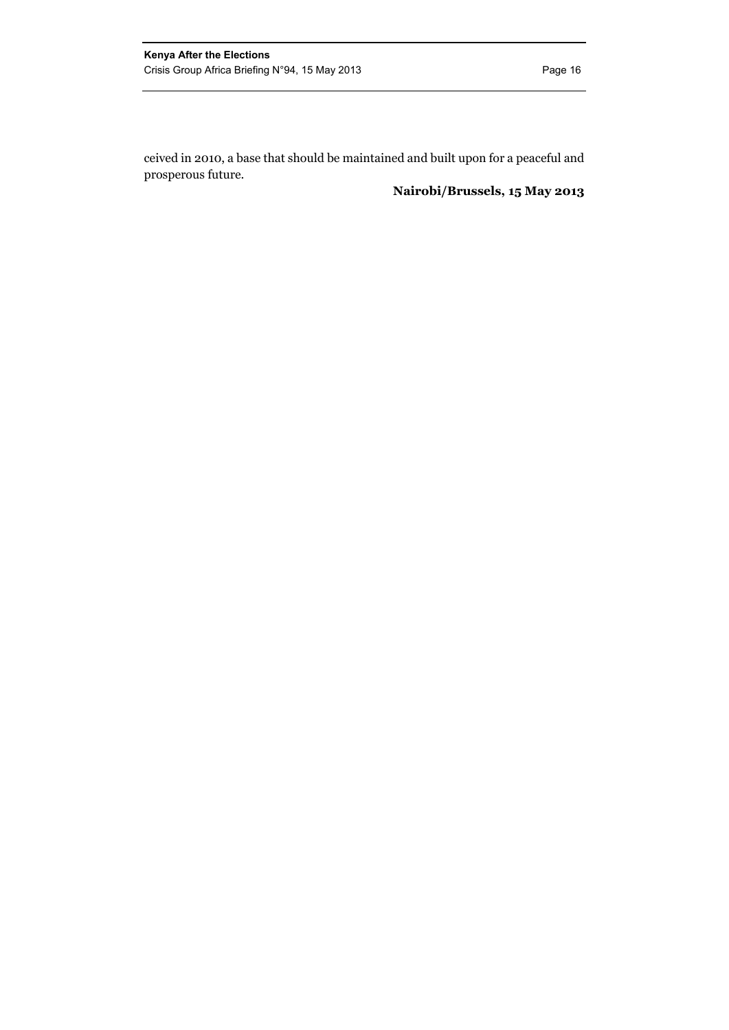ceived in 2010, a base that should be maintained and built upon for a peaceful and prosperous future.

#### **Nairobi/Brussels, 15 May 2013**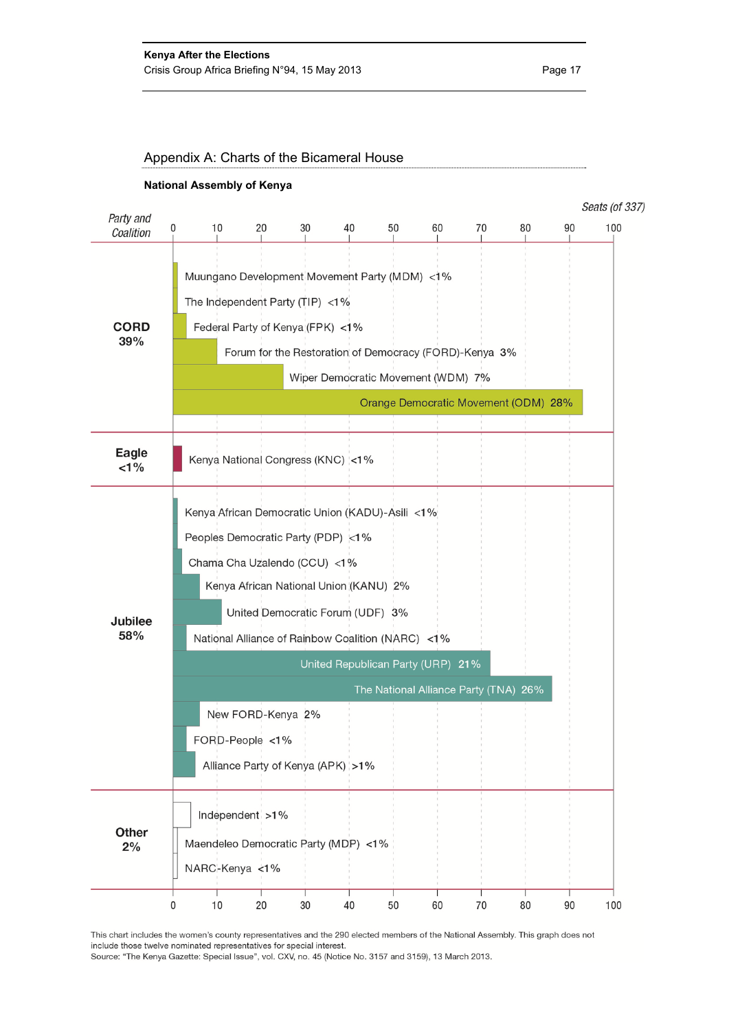

This chart includes the women's county representatives and the 290 elected members of the National Assembly. This graph does not include those twelve nominated representatives for special interest.

Source: "The Kenya Gazette: Special Issue", vol. CXV, no. 45 (Notice No. 3157 and 3159), 13 March 2013.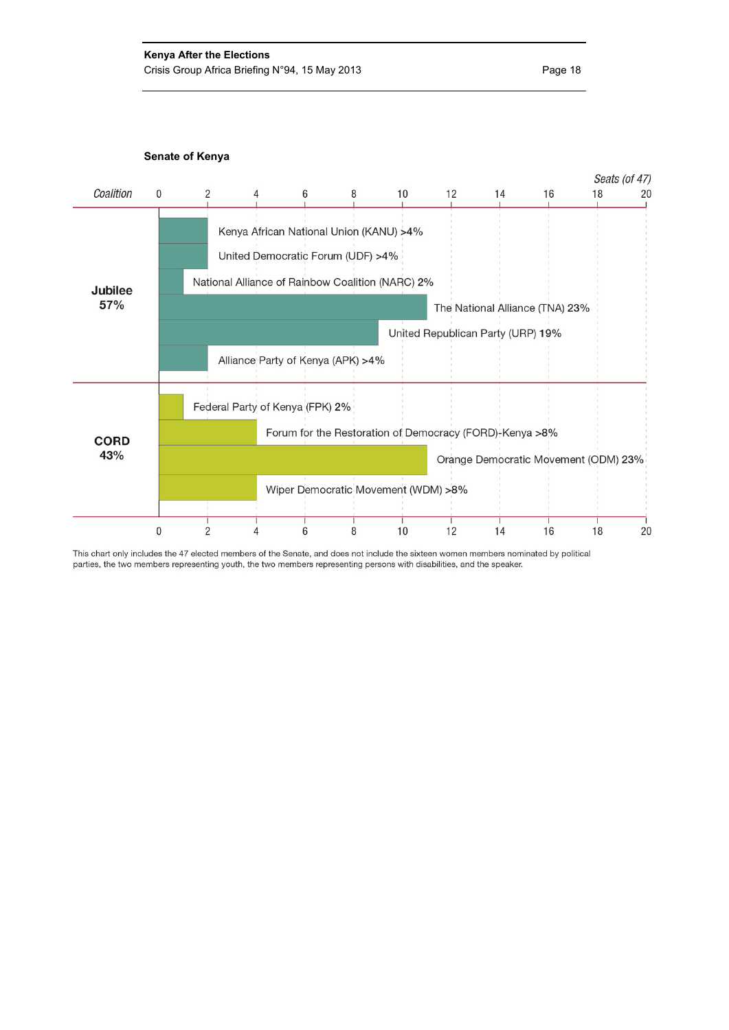

This chart only includes the 47 elected members of the Senate, and does not include the sixteen women members nominated by political parties, the two members representing youth, the two members representing persons with disabilities, and the speaker.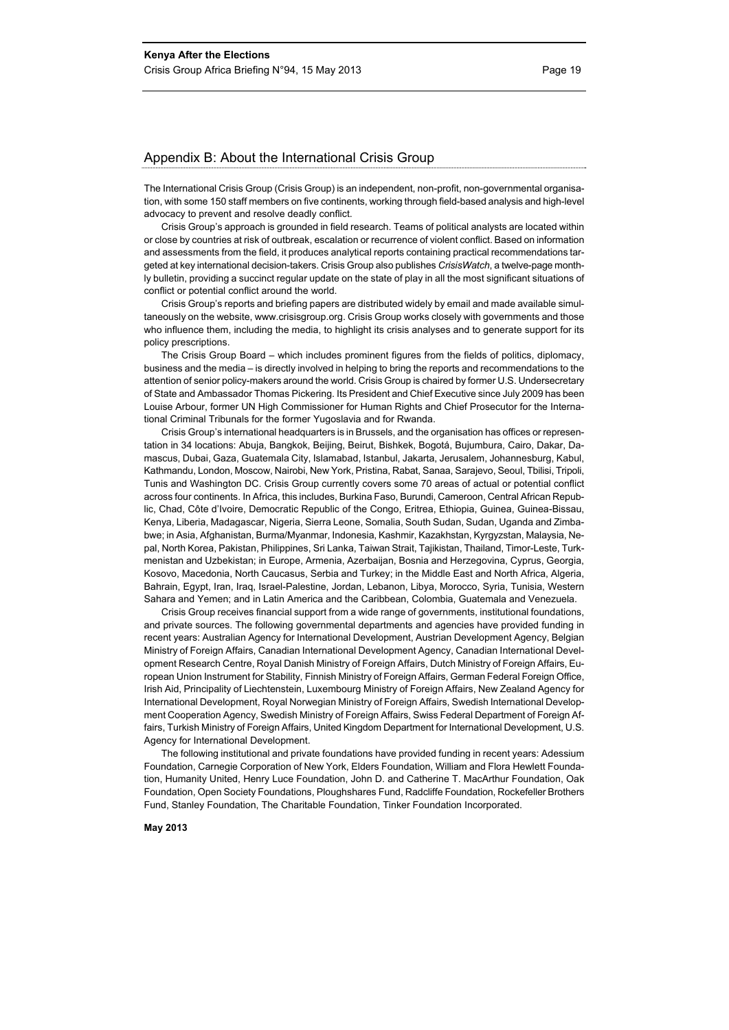#### Appendix B: About the International Crisis Group

The International Crisis Group (Crisis Group) is an independent, non-profit, non-governmental organisation, with some 150 staff members on five continents, working through field-based analysis and high-level advocacy to prevent and resolve deadly conflict.

Crisis Group's approach is grounded in field research. Teams of political analysts are located within or close by countries at risk of outbreak, escalation or recurrence of violent conflict. Based on information and assessments from the field, it produces analytical reports containing practical recommendations targeted at key international decision-takers. Crisis Group also publishes *CrisisWatch*, a twelve-page monthly bulletin, providing a succinct regular update on the state of play in all the most significant situations of conflict or potential conflict around the world.

Crisis Group's reports and briefing papers are distributed widely by email and made available simultaneously on the website, www.crisisgroup.org. Crisis Group works closely with governments and those who influence them, including the media, to highlight its crisis analyses and to generate support for its policy prescriptions.

The Crisis Group Board – which includes prominent figures from the fields of politics, diplomacy, business and the media – is directly involved in helping to bring the reports and recommendations to the attention of senior policy-makers around the world. Crisis Group is chaired by former U.S. Undersecretary of State and Ambassador Thomas Pickering. Its President and Chief Executive since July 2009 has been Louise Arbour, former UN High Commissioner for Human Rights and Chief Prosecutor for the International Criminal Tribunals for the former Yugoslavia and for Rwanda.

Crisis Group's international headquarters is in Brussels, and the organisation has offices or representation in 34 locations: Abuja, Bangkok, Beijing, Beirut, Bishkek, Bogotá, Bujumbura, Cairo, Dakar, Damascus, Dubai, Gaza, Guatemala City, Islamabad, Istanbul, Jakarta, Jerusalem, Johannesburg, Kabul, Kathmandu, London, Moscow, Nairobi, New York, Pristina, Rabat, Sanaa, Sarajevo, Seoul, Tbilisi, Tripoli, Tunis and Washington DC. Crisis Group currently covers some 70 areas of actual or potential conflict across four continents. In Africa, this includes, Burkina Faso, Burundi, Cameroon, Central African Republic, Chad, Côte d'Ivoire, Democratic Republic of the Congo, Eritrea, Ethiopia, Guinea, Guinea-Bissau, Kenya, Liberia, Madagascar, Nigeria, Sierra Leone, Somalia, South Sudan, Sudan, Uganda and Zimbabwe; in Asia, Afghanistan, Burma/Myanmar, Indonesia, Kashmir, Kazakhstan, Kyrgyzstan, Malaysia, Nepal, North Korea, Pakistan, Philippines, Sri Lanka, Taiwan Strait, Tajikistan, Thailand, Timor-Leste, Turkmenistan and Uzbekistan; in Europe, Armenia, Azerbaijan, Bosnia and Herzegovina, Cyprus, Georgia, Kosovo, Macedonia, North Caucasus, Serbia and Turkey; in the Middle East and North Africa, Algeria, Bahrain, Egypt, Iran, Iraq, Israel-Palestine, Jordan, Lebanon, Libya, Morocco, Syria, Tunisia, Western Sahara and Yemen; and in Latin America and the Caribbean, Colombia, Guatemala and Venezuela.

Crisis Group receives financial support from a wide range of governments, institutional foundations, and private sources. The following governmental departments and agencies have provided funding in recent years: Australian Agency for International Development, Austrian Development Agency, Belgian Ministry of Foreign Affairs, Canadian International Development Agency, Canadian International Development Research Centre, Royal Danish Ministry of Foreign Affairs, Dutch Ministry of Foreign Affairs, European Union Instrument for Stability, Finnish Ministry of Foreign Affairs, German Federal Foreign Office, Irish Aid, Principality of Liechtenstein, Luxembourg Ministry of Foreign Affairs, New Zealand Agency for International Development, Royal Norwegian Ministry of Foreign Affairs, Swedish International Development Cooperation Agency, Swedish Ministry of Foreign Affairs, Swiss Federal Department of Foreign Affairs, Turkish Ministry of Foreign Affairs, United Kingdom Department for International Development, U.S. Agency for International Development.

The following institutional and private foundations have provided funding in recent years: Adessium Foundation, Carnegie Corporation of New York, Elders Foundation, William and Flora Hewlett Foundation, Humanity United, Henry Luce Foundation, John D. and Catherine T. MacArthur Foundation, Oak Foundation, Open Society Foundations, Ploughshares Fund, Radcliffe Foundation, Rockefeller Brothers Fund, Stanley Foundation, The Charitable Foundation, Tinker Foundation Incorporated.

#### **May 2013**